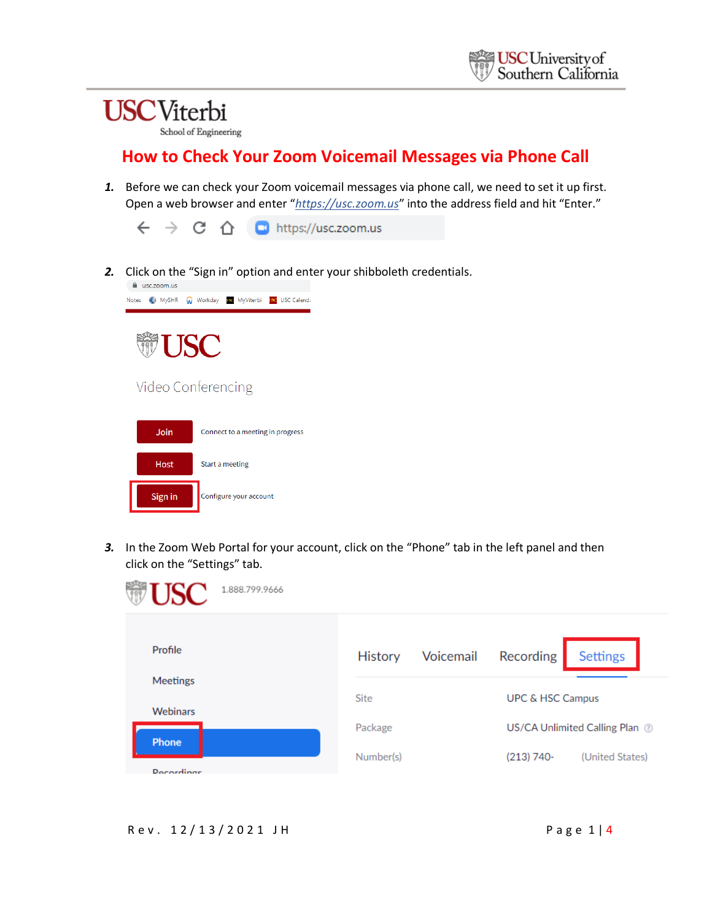School of Engineering

#### **How to Check Your Zoom Voicemail Messages via Phone Call**

*1.* Before we can check your Zoom voicemail messages via phone call, we need to set it up first. Open a web browser and enter "*https://usc.zoom.us*" into the address field and hit "Enter."



*2.* Click on the "Sign in" option and enter your shibboleth credentials.



*3.* In the Zoom Web Portal for your account, click on the "Phone" tab in the left panel and then click on the "Settings" tab.

| <b>TISC</b><br>1.888.799.9666      |                |                             |                                |  |
|------------------------------------|----------------|-----------------------------|--------------------------------|--|
| Profile                            | <b>History</b> | Voicemail<br>Recording      | <b>Settings</b>                |  |
| <b>Meetings</b><br><b>Webinars</b> | <b>Site</b>    | <b>UPC &amp; HSC Campus</b> |                                |  |
| Phone<br><b>Decordings</b>         | Package        |                             | US/CA Unlimited Calling Plan @ |  |
|                                    | Number(s)      | $(213) 740-$                | (United States)                |  |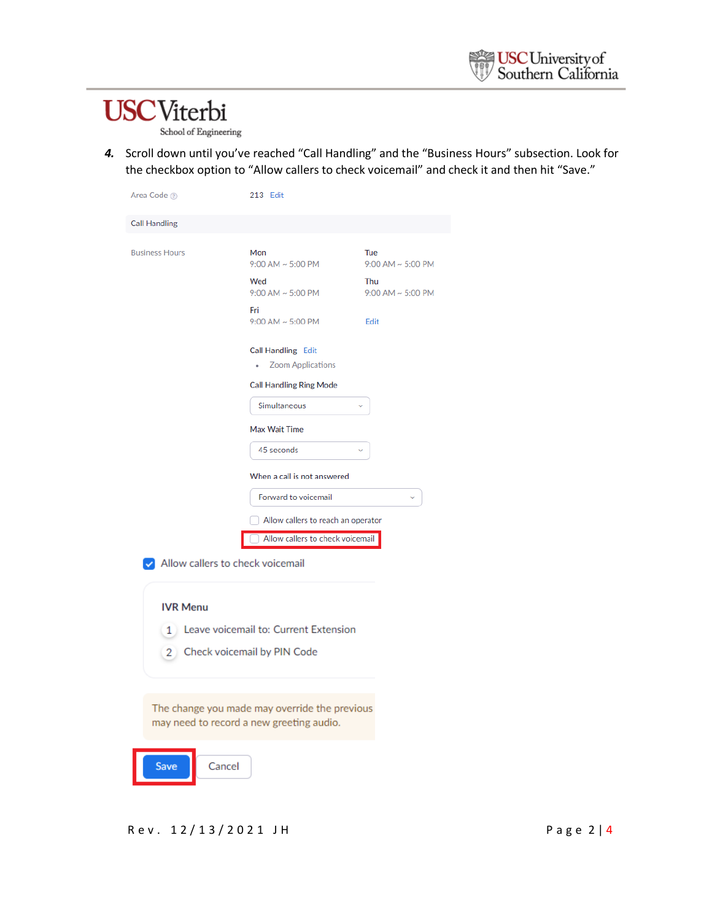School of Engineering

*4.* Scroll down until you've reached "Call Handling" and the "Business Hours" subsection. Look for the checkbox option to "Allow callers to check voicemail" and check it and then hit "Save."

| Area Code 2                             | 213 Edit                                                                                  |                                 |  |
|-----------------------------------------|-------------------------------------------------------------------------------------------|---------------------------------|--|
| <b>Call Handling</b>                    |                                                                                           |                                 |  |
| <b>Business Hours</b>                   | Mon<br>$9:00$ AM $\sim 5:00$ PM                                                           | Tue<br>$9:00$ AM $\sim 5:00$ PM |  |
|                                         | Wed<br>$9:00$ AM $\sim 5:00$ PM                                                           | Thu<br>$9:00$ AM $\sim 5:00$ PM |  |
|                                         | Fri<br>$9:00$ AM $\sim 5:00$ PM                                                           | Edit                            |  |
|                                         | <b>Call Handling Edit</b><br><b>Zoom Applications</b>                                     |                                 |  |
|                                         | <b>Call Handling Ring Mode</b><br>Simultaneous                                            |                                 |  |
|                                         |                                                                                           |                                 |  |
|                                         | Max Wait Time<br>45 seconds                                                               |                                 |  |
|                                         | When a call is not answered                                                               |                                 |  |
| Forward to voicemail                    |                                                                                           |                                 |  |
|                                         | Allow callers to reach an operator                                                        |                                 |  |
|                                         | Allow callers to check voicemail                                                          |                                 |  |
| Allow callers to check voicemail        |                                                                                           |                                 |  |
| <b>IVR Menu</b>                         |                                                                                           |                                 |  |
| 1 Leave voicemail to: Current Extension |                                                                                           |                                 |  |
| 2 Check voicemail by PIN Code           |                                                                                           |                                 |  |
|                                         | The change you made may override the previous<br>may need to record a new greeting audio. |                                 |  |

Save Cancel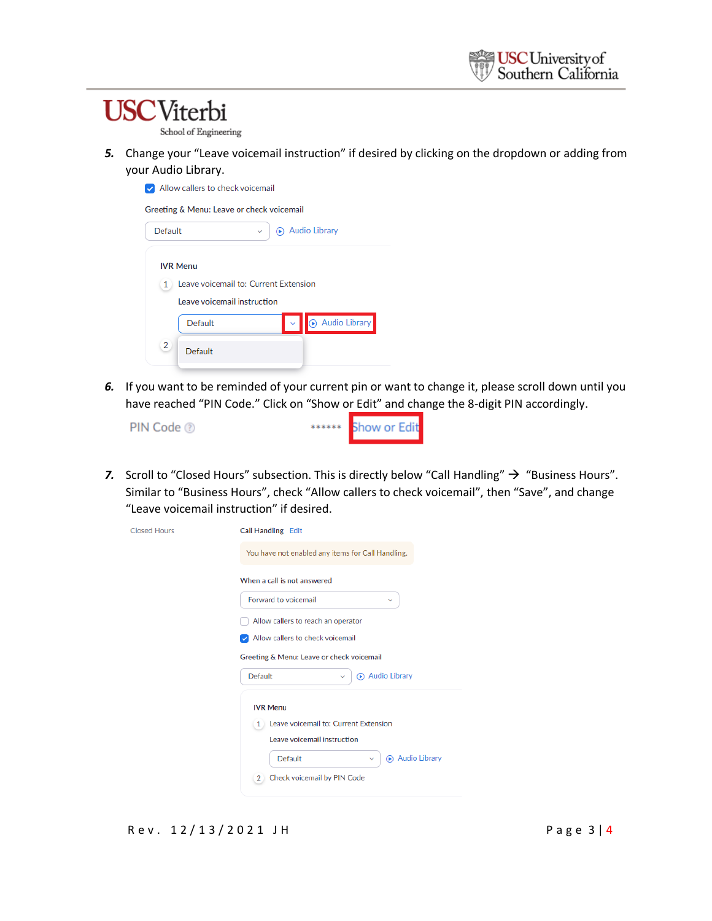School of Engineering

*5.* Change your "Leave voicemail instruction" if desired by clicking on the dropdown or adding from your Audio Library.

| Allow callers to check voicemail           |  |  |  |  |
|--------------------------------------------|--|--|--|--|
| Greeting & Menu: Leave or check voicemail  |  |  |  |  |
| Audio Library<br>Default                   |  |  |  |  |
| <b>IVR Menu</b>                            |  |  |  |  |
| Leave voicemail to: Current Extension<br>1 |  |  |  |  |
| Leave voicemail instruction                |  |  |  |  |
| Audio Library<br>Default                   |  |  |  |  |
| $\overline{2}$<br>Default                  |  |  |  |  |

*6.* If you want to be reminded of your current pin or want to change it, please scroll down until you have reached "PIN Code." Click on "Show or Edit" and change the 8-digit PIN accordingly.

| ****** Show or Edit<br>PIN Code 2 |
|-----------------------------------|
|-----------------------------------|

7. Scroll to "Closed Hours" subsection. This is directly below "Call Handling" → "Business Hours". Similar to "Business Hours", check "Allow callers to check voicemail", then "Save", and change "Leave voicemail instruction" if desired.

| <b>Closed Hours</b> | Call Handling Edit                                                     |  |  |
|---------------------|------------------------------------------------------------------------|--|--|
|                     | You have not enabled any items for Call Handling.                      |  |  |
|                     | When a call is not answered                                            |  |  |
|                     | Forward to voicemail<br>v                                              |  |  |
|                     | Allow callers to reach an operator                                     |  |  |
|                     | Allow callers to check voicemail                                       |  |  |
|                     | Greeting & Menu: Leave or check voicemail                              |  |  |
|                     | Audio Library<br>Default                                               |  |  |
|                     | <b>IVR Menu</b>                                                        |  |  |
|                     | 1 Leave voicemail to: Current Extension<br>Leave voicemail instruction |  |  |
|                     | Audio Library<br><b>Default</b>                                        |  |  |
|                     | $\checkmark$                                                           |  |  |
|                     | Check voicemail by PIN Code<br>2 <sup>1</sup>                          |  |  |

R e v . 1 2 / 1 3 / 2 0 2 1 J H P a g e 3 | 4